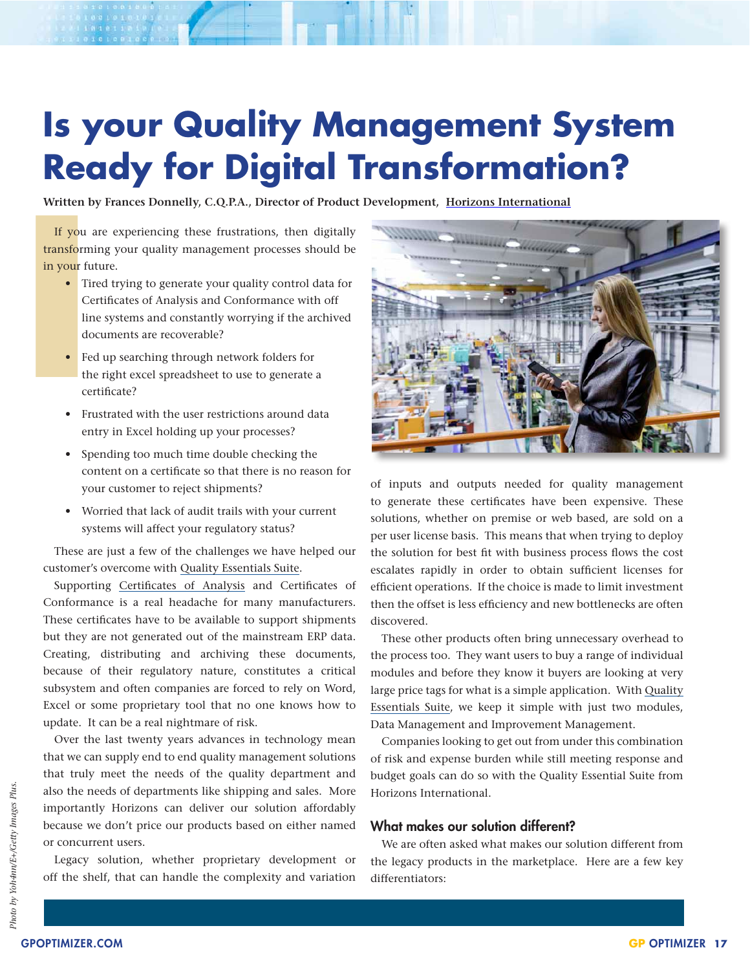# **Is your Quality Management System Ready for Digital Transformation?**

**Written by Frances Donnelly, C.Q.P.A., Director of Product Development, [Horizons International](http://www.hzs.com)**

If you transform in your fu<br>
in your fu<br>
Ti<br>
Co<br>
I lind do <br>
Fe<br>
th ce<br>
Fr If you are experiencing these frustrations, then digitally transforming your quality management processes should be in your future.

- Tired trying to generate your quality control data for Certificates of Analysis and Conformance with off line systems and constantly worrying if the archived documents are recoverable?
- Fed up searching through network folders for the right excel spreadsheet to use to generate a certificate?
- • Frustrated with the user restrictions around data entry in Excel holding up your processes?
- • Spending too much time double checking the content on a certificate so that there is no reason for your customer to reject shipments?
- • Worried that lack of audit trails with your current systems will affect your regulatory status?

These are just a few of the challenges we have helped our customer's overcome with Quality [Essentials](https://www.qualityessentialssuite.com/) Suite.

Supporting [Certificates of Analysis](https://www.qualityessentialssuite.com/certificate-of-analysis/) and Certificates of Conformance is a real headache for many manufacturers. These certificates have to be available to support shipments but they are not generated out of the mainstream ERP data. Creating, distributing and archiving these documents, because of their regulatory nature, constitutes a critical subsystem and often companies are forced to rely on Word, Excel or some proprietary tool that no one knows how to update. It can be a real nightmare of risk.

Over the last twenty years advances in technology mean that we can supply end to end quality management solutions that truly meet the needs of the quality department and also the needs of departments like shipping and sales. More importantly Horizons can deliver our solution affordably because we don't price our products based on either named or concurrent users.

Legacy solution, whether proprietary development or off the shelf, that can handle the complexity and variation



of inputs and outputs needed for quality management to generate these certificates have been expensive. These solutions, whether on premise or web based, are sold on a per user license basis. This means that when trying to deploy the solution for best fit with business process flows the cost escalates rapidly in order to obtain sufficient licenses for efficient operations. If the choice is made to limit investment then the offset is less efficiency and new bottlenecks are often discovered.

These other products often bring unnecessary overhead to the process too. They want users to buy a range of individual modules and before they know it buyers are looking at very large price tags for what is a simple application. With [Quality](https://www.qualityessentialssuite.com/) [Essentials Suite,](https://www.qualityessentialssuite.com/) we keep it simple with just two modules, Data Management and Improvement Management.

Companies looking to get out from under this combination of risk and expense burden while still meeting response and budget goals can do so with the Quality Essential Suite from Horizons International.

## What makes our solution different?

We are often asked what makes our solution different from the legacy products in the marketplace. Here are a few key differentiators: